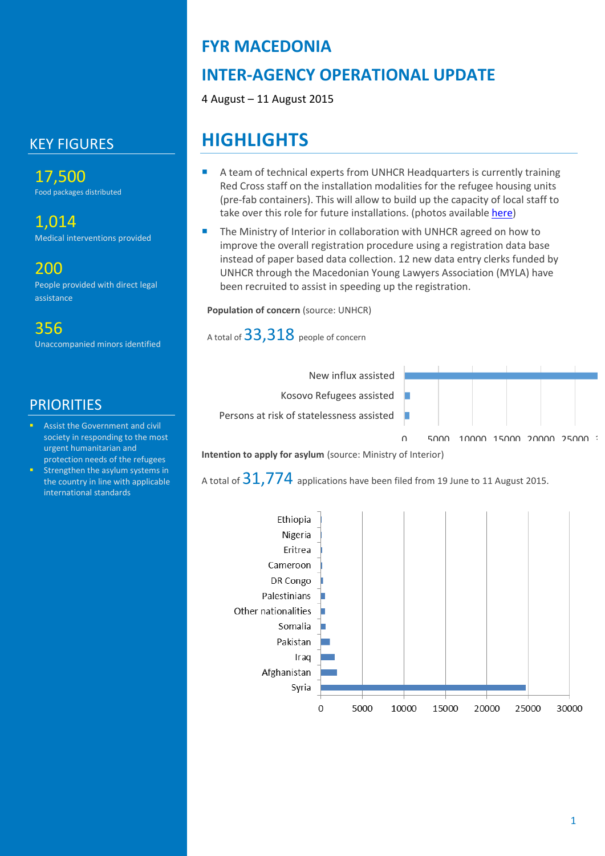# KEY FIGURES

17,500 Food packages distributed

### 1,014

Medical interventions provided

## 200

People provided with direct legal assistance

# 356

Unaccompanied minors identified

### **PRIORITIES**

- Assist the Government and civil society in responding to the most urgent humanitarian and protection needs of the refugees
- Strengthen the asylum systems in the country in line with applicable international standards

# **FYR MACEDONIA**

# **INTER-AGENCY OPERATIONAL UPDATE**

4 August – 11 August 2015

# **HIGHLIGHTS**

- A team of technical experts from UNHCR Headquarters is currently training Red Cross staff on the installation modalities for the refugee housing units (pre-fab containers). This will allow to build up the capacity of local staff to take over this role for future installations. (photos available [here\)](https://www.facebook.com/media/set/?set=a.848872551857490.1073741831.168650396546379&type=3)
- The Ministry of Interior in collaboration with UNHCR agreed on how to improve the overall registration procedure using a registration data base instead of paper based data collection. 12 new data entry clerks funded by UNHCR through the Macedonian Young Lawyers Association (MYLA) have been recruited to assist in speeding up the registration.

#### **Population of concern** (source: UNHCR)

A total of 33,318 people of concern



#### **Intention to apply for asylum** (source: Ministry of Interior)

A total of  $31,774$  applications have been filed from 19 June to 11 August 2015.

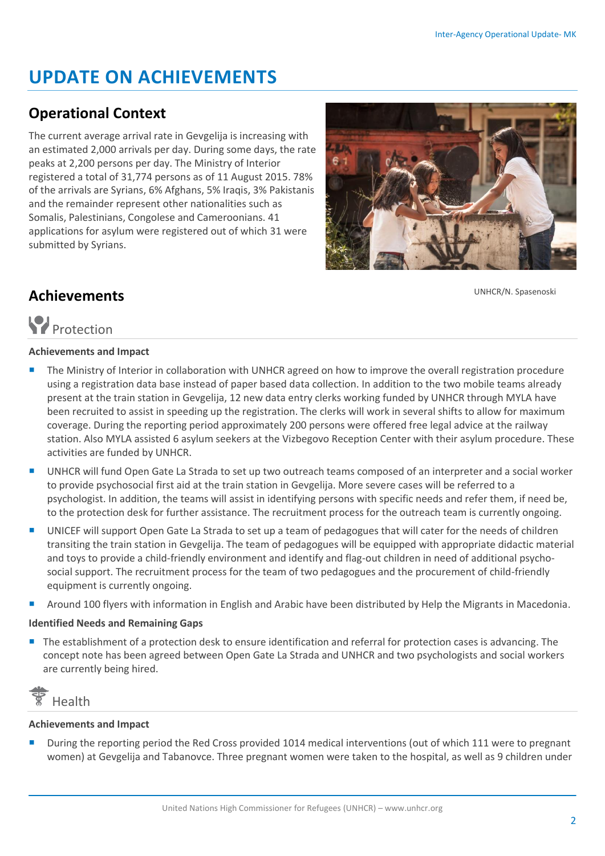# **UPDATE ON ACHIEVEMENTS**

# **Operational Context**

The current average arrival rate in Gevgelija is increasing with an estimated 2,000 arrivals per day. During some days, the rate peaks at 2,200 persons per day. The Ministry of Interior registered a total of 31,774 persons as of 11 August 2015. 78% of the arrivals are Syrians, 6% Afghans, 5% Iraqis, 3% Pakistanis and the remainder represent other nationalities such as Somalis, Palestinians, Congolese and Cameroonians. 41 applications for asylum were registered out of which 31 were submitted by Syrians.



UNHCR/N. Spasenoski

# **Achievements**

# **P**rotection

#### **Achievements and Impact**

- **The Ministry of Interior in collaboration with UNHCR agreed on how to improve the overall registration procedure** using a registration data base instead of paper based data collection. In addition to the two mobile teams already present at the train station in Gevgelija, 12 new data entry clerks working funded by UNHCR through MYLA have been recruited to assist in speeding up the registration. The clerks will work in several shifts to allow for maximum coverage. During the reporting period approximately 200 persons were offered free legal advice at the railway station. Also MYLA assisted 6 asylum seekers at the Vizbegovo Reception Center with their asylum procedure. These activities are funded by UNHCR.
- UNHCR will fund Open Gate La Strada to set up two outreach teams composed of an interpreter and a social worker to provide psychosocial first aid at the train station in Gevgelija. More severe cases will be referred to a psychologist. In addition, the teams will assist in identifying persons with specific needs and refer them, if need be, to the protection desk for further assistance. The recruitment process for the outreach team is currently ongoing.
- UNICEF will support Open Gate La Strada to set up a team of pedagogues that will cater for the needs of children transiting the train station in Gevgelija. The team of pedagogues will be equipped with appropriate didactic material and toys to provide a child-friendly environment and identify and flag-out children in need of additional psychosocial support. The recruitment process for the team of two pedagogues and the procurement of child-friendly equipment is currently ongoing.
- Around 100 flyers with information in English and Arabic have been distributed by Help the Migrants in Macedonia.

#### **Identified Needs and Remaining Gaps**

 The establishment of a protection desk to ensure identification and referral for protection cases is advancing. The concept note has been agreed between Open Gate La Strada and UNHCR and two psychologists and social workers are currently being hired.



#### **Achievements and Impact**

 During the reporting period the Red Cross provided 1014 medical interventions (out of which 111 were to pregnant women) at Gevgelija and Tabanovce. Three pregnant women were taken to the hospital, as well as 9 children under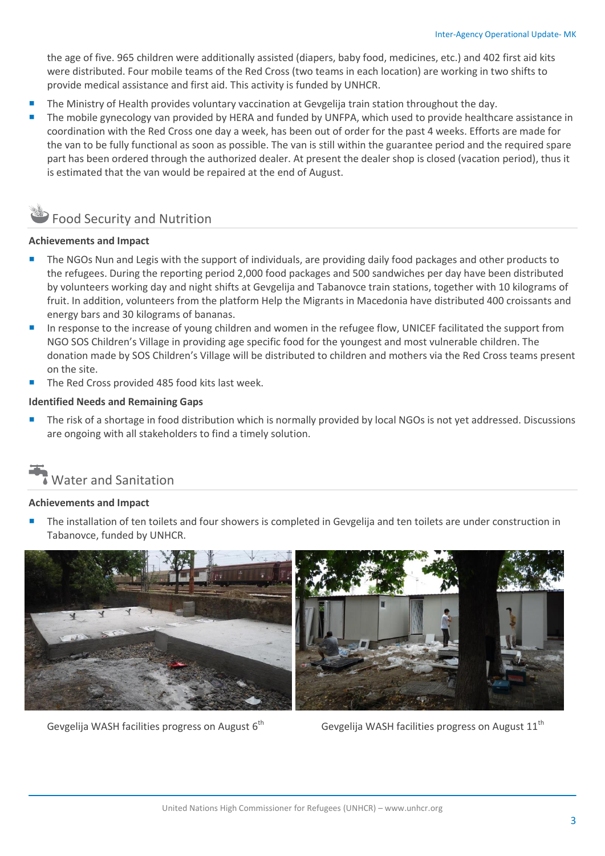the age of five. 965 children were additionally assisted (diapers, baby food, medicines, etc.) and 402 first aid kits were distributed. Four mobile teams of the Red Cross (two teams in each location) are working in two shifts to provide medical assistance and first aid. This activity is funded by UNHCR.

- The Ministry of Health provides voluntary vaccination at Gevgelija train station throughout the day.
- The mobile gynecology van provided by HERA and funded by UNFPA, which used to provide healthcare assistance in coordination with the Red Cross one day a week, has been out of order for the past 4 weeks. Efforts are made for the van to be fully functional as soon as possible. The van is still within the guarantee period and the required spare part has been ordered through the authorized dealer. At present the dealer shop is closed (vacation period), thus it is estimated that the van would be repaired at the end of August.

# Food Security and Nutrition

#### **Achievements and Impact**

- The NGOs Nun and Legis with the support of individuals, are providing daily food packages and other products to the refugees. During the reporting period 2,000 food packages and 500 sandwiches per day have been distributed by volunteers working day and night shifts at Gevgelija and Tabanovce train stations, together with 10 kilograms of fruit. In addition, volunteers from the platform Help the Migrants in Macedonia have distributed 400 croissants and energy bars and 30 kilograms of bananas.
- In response to the increase of young children and women in the refugee flow, UNICEF facilitated the support from NGO SOS Children's Village in providing age specific food for the youngest and most vulnerable children. The donation made by SOS Children's Village will be distributed to children and mothers via the Red Cross teams present on the site.
- The Red Cross provided 485 food kits last week.

#### **Identified Needs and Remaining Gaps**

 The risk of a shortage in food distribution which is normally provided by local NGOs is not yet addressed. Discussions are ongoing with all stakeholders to find a timely solution.

# Water and Sanitation

#### **Achievements and Impact**

 The installation of ten toilets and four showers is completed in Gevgelija and ten toilets are under construction in Tabanovce, funded by UNHCR.



Gevgelija WASH facilities progress on August  $6<sup>th</sup>$  Gevgelija WASH facilities progress on August  $11<sup>th</sup>$